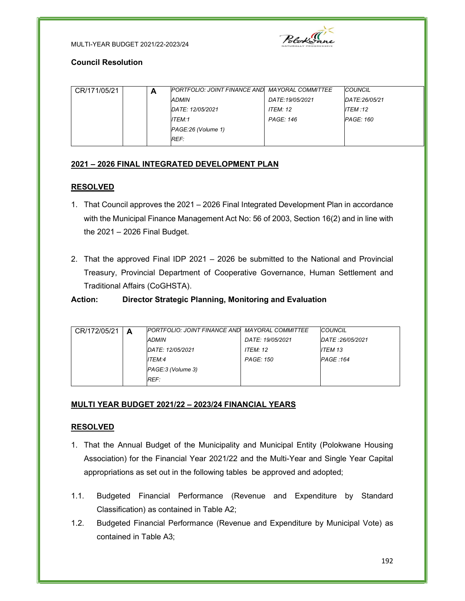



### Council Resolution

| CR/171/05/21 | А | PORTFOLIO: JOINT FINANCE AND MAYORAL COMMITTEE |                  | COUNCIL          |
|--------------|---|------------------------------------------------|------------------|------------------|
|              |   | ADMIN                                          | DATE:19/05/2021  | DATE:26/05/21    |
|              |   | DATE: 12/05/2021                               | <b>ITEM: 12</b>  | ITEM :12         |
|              |   | ITEM:1                                         | <b>PAGE: 146</b> | <b>PAGE: 160</b> |
|              |   | PAGE:26 (Volume 1)                             |                  |                  |
|              |   | REF:                                           |                  |                  |

# 2021 – 2026 FINAL INTEGRATED DEVELOPMENT PLAN

## RESOLVED

- 1. That Council approves the 2021 2026 Final Integrated Development Plan in accordance with the Municipal Finance Management Act No: 56 of 2003, Section 16(2) and in line with the 2021 – 2026 Final Budget.
- 2. That the approved Final IDP 2021 2026 be submitted to the National and Provincial Treasury, Provincial Department of Cooperative Governance, Human Settlement and Traditional Affairs (CoGHSTA).

# Action: Director Strategic Planning, Monitoring and Evaluation

| A |                   |                  |                                                        |                                          |
|---|-------------------|------------------|--------------------------------------------------------|------------------------------------------|
|   | <b>ADMIN</b>      | DATE: 19/05/2021 |                                                        |                                          |
|   | DATE: 12/05/2021  | <b>ITEM: 12</b>  | ITEM 13                                                |                                          |
|   | ITEM:4            | <b>PAGE: 150</b> |                                                        |                                          |
|   | PAGE:3 (Volume 3) |                  |                                                        |                                          |
|   | REF:              |                  |                                                        |                                          |
|   |                   |                  | <b>IPORTFOLIO: JOINT FINANCE AND MAYORAL COMMITTEE</b> | COUNCIL<br>DATE: 26/05/2021<br>PAGE :164 |

# MULTI YEAR BUDGET 2021/22 – 2023/24 FINANCIAL YEARS

## RESOLVED

- 1. That the Annual Budget of the Municipality and Municipal Entity (Polokwane Housing Association) for the Financial Year 2021/22 and the Multi-Year and Single Year Capital appropriations as set out in the following tables be approved and adopted;
- 1.1. Budgeted Financial Performance (Revenue and Expenditure by Standard Classification) as contained in Table A2;
- 1.2. Budgeted Financial Performance (Revenue and Expenditure by Municipal Vote) as contained in Table A3;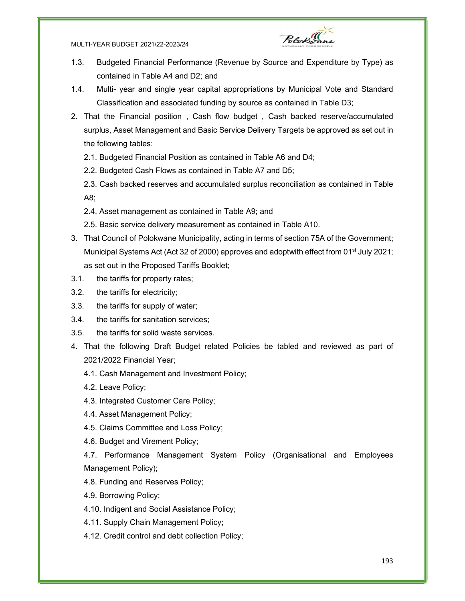#### MULTI-YEAR BUDGET 2021/22-2023/24



- 1.3. Budgeted Financial Performance (Revenue by Source and Expenditure by Type) as contained in Table A4 and D2; and
- 1.4. Multi- year and single year capital appropriations by Municipal Vote and Standard Classification and associated funding by source as contained in Table D3;
- 2. That the Financial position , Cash flow budget , Cash backed reserve/accumulated surplus, Asset Management and Basic Service Delivery Targets be approved as set out in the following tables:
	- 2.1. Budgeted Financial Position as contained in Table A6 and D4;
	- 2.2. Budgeted Cash Flows as contained in Table A7 and D5;
	- 2.3. Cash backed reserves and accumulated surplus reconciliation as contained in Table A8;
	- 2.4. Asset management as contained in Table A9; and
	- 2.5. Basic service delivery measurement as contained in Table A10.
- 3. That Council of Polokwane Municipality, acting in terms of section 75A of the Government; Municipal Systems Act (Act 32 of 2000) approves and adoptwith effect from 01<sup>st</sup> July 2021; as set out in the Proposed Tariffs Booklet;
- 3.1. the tariffs for property rates;
- 3.2. the tariffs for electricity;
- 3.3. the tariffs for supply of water;
- 3.4. the tariffs for sanitation services;
- 3.5. the tariffs for solid waste services.
- 4. That the following Draft Budget related Policies be tabled and reviewed as part of 2021/2022 Financial Year;
	- 4.1. Cash Management and Investment Policy;
	- 4.2. Leave Policy;
	- 4.3. Integrated Customer Care Policy;
	- 4.4. Asset Management Policy;
	- 4.5. Claims Committee and Loss Policy;
	- 4.6. Budget and Virement Policy;

4.7. Performance Management System Policy (Organisational and Employees Management Policy);

- 4.8. Funding and Reserves Policy;
- 4.9. Borrowing Policy;
- 4.10. Indigent and Social Assistance Policy;
- 4.11. Supply Chain Management Policy;
- 4.12. Credit control and debt collection Policy;